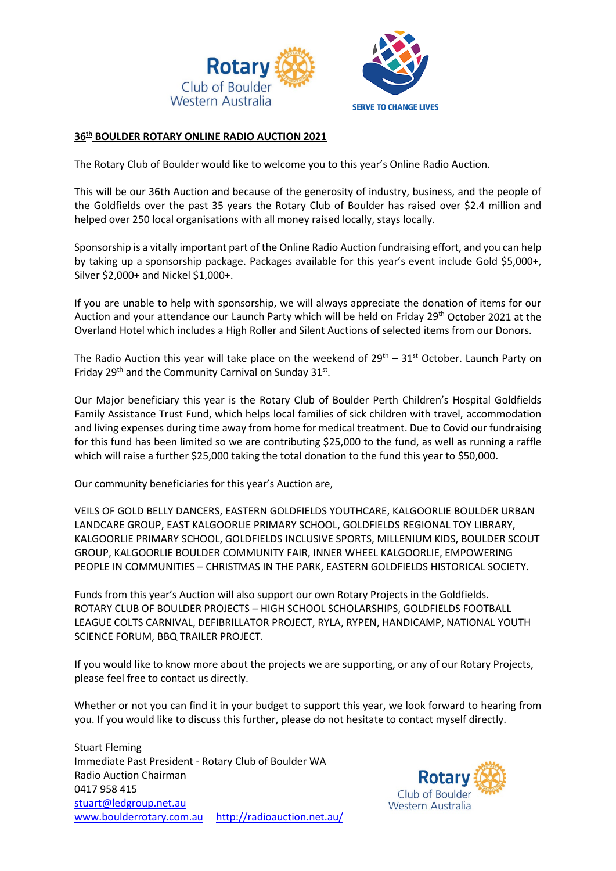

# **36th BOULDER ROTARY ONLINE RADIO AUCTION 2021**

The Rotary Club of Boulder would like to welcome you to this year's Online Radio Auction.

This will be our 36th Auction and because of the generosity of industry, business, and the people of the Goldfields over the past 35 years the Rotary Club of Boulder has raised over \$2.4 million and helped over 250 local organisations with all money raised locally, stays locally.

Sponsorship is a vitally important part of the Online Radio Auction fundraising effort, and you can help by taking up a sponsorship package. Packages available for this year's event include Gold \$5,000+, Silver \$2,000+ and Nickel \$1,000+.

If you are unable to help with sponsorship, we will always appreciate the donation of items for our Auction and your attendance our Launch Party which will be held on Friday 29<sup>th</sup> October 2021 at the Overland Hotel which includes a High Roller and Silent Auctions of selected items from our Donors.

The Radio Auction this year will take place on the weekend of  $29<sup>th</sup> - 31<sup>st</sup>$  October. Launch Party on Friday 29<sup>th</sup> and the Community Carnival on Sunday 31<sup>st</sup>.

Our Major beneficiary this year is the Rotary Club of Boulder Perth Children's Hospital Goldfields Family Assistance Trust Fund, which helps local families of sick children with travel, accommodation and living expenses during time away from home for medical treatment. Due to Covid our fundraising for this fund has been limited so we are contributing \$25,000 to the fund, as well as running a raffle which will raise a further \$25,000 taking the total donation to the fund this year to \$50,000.

Our community beneficiaries for this year's Auction are,

VEILS OF GOLD BELLY DANCERS, EASTERN GOLDFIELDS YOUTHCARE, KALGOORLIE BOULDER URBAN LANDCARE GROUP, EAST KALGOORLIE PRIMARY SCHOOL, GOLDFIELDS REGIONAL TOY LIBRARY, KALGOORLIE PRIMARY SCHOOL, GOLDFIELDS INCLUSIVE SPORTS, MILLENIUM KIDS, BOULDER SCOUT GROUP, KALGOORLIE BOULDER COMMUNITY FAIR, INNER WHEEL KALGOORLIE, EMPOWERING PEOPLE IN COMMUNITIES – CHRISTMAS IN THE PARK, EASTERN GOLDFIELDS HISTORICAL SOCIETY.

Funds from this year's Auction will also support our own Rotary Projects in the Goldfields. ROTARY CLUB OF BOULDER PROJECTS – HIGH SCHOOL SCHOLARSHIPS, GOLDFIELDS FOOTBALL LEAGUE COLTS CARNIVAL, DEFIBRILLATOR PROJECT, RYLA, RYPEN, HANDICAMP, NATIONAL YOUTH SCIENCE FORUM, BBQ TRAILER PROJECT.

If you would like to know more about the projects we are supporting, or any of our Rotary Projects, please feel free to contact us directly.

Whether or not you can find it in your budget to support this year, we look forward to hearing from you. If you would like to discuss this further, please do not hesitate to contact myself directly.

Stuart Fleming Immediate Past President - Rotary Club of Boulder WA Radio Auction Chairman 0417 958 415 [stuart@ledgroup.net.au](mailto:stuart@ledgroup.net.au) [www.boulderrotary.com.au](http://www.boulderrotary.com.au/) <http://radioauction.net.au/>